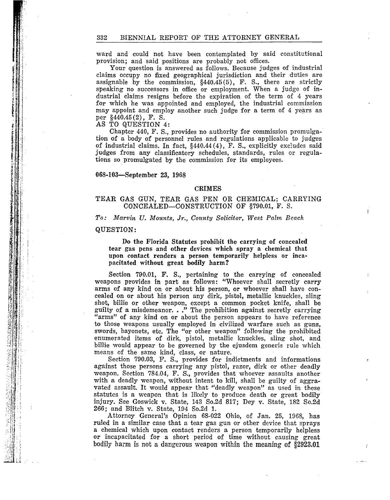ward and could not have been contemplated by said constitutional provision; and said positions are probably not offices.

Your question is answered as follows. Because judges of industrial claims occupy no fixed geographical jurisdiction and their duties are assignable by the commission,  $\S440.45(5)$ , F. S., there are strictly speaking no successors in office or employment. When a judge of industrial claims resigns before the expiration of the term of 4 years for which he was appointed and employed, the industrial commission may appoint and employ another such judge for a term of 4 years as per §440.45 (2), F. S.

AS TO QUESTION 4:

"

Chapter 440, F. S., provides no authority for commission promulgation of a body of personnel rules and regulations applicable to judges of industrial claims. In fact, §440.44(4), F. S., explicitly excludes said judges from any classificatory schedules, standards, rules or regulations so promulgated by the commission for its employees.

#### 068-103-September 23, 1968

#### CRIMES

# TEAR GAS GUN, TEAR GAS PEN OR CHEMICAL; CARRYING CONCEALED-CONSTRUCTION OF §790.01, F. S.

# *To: Marvin U. Mounts, Jr., County Solicitor, West Palm Beach*

# QUESTION:

Do the Florida Statutes prohibit the carrying of concealed tear gas pens and other devices which spray a chemical that upon contact renders a person temporarily helpless or incapacitated without great bodily harm?

Section 790.01, F. S., pertaining to the carrying of concealed weapons provides in part as follows: "Whoever shall secretly carry arms of any kind on or about his person, or whoever shall have concealed on Or about his person any dirk, pistol, metallic knuckles, sling shot, billie or other weapon, except a common pocket knife, shall be guilty of a misdemeanor. ..." The prohibition against secretly carrying "arms" of any kind on or about the person appears to have reference to those weapons usually employed in civilized warfare such as guns, swords, bayonets, etc. The "or other weapon" following the prohibited enumerated items of dirk, pistol, metallic knuckles, sling shot, and billie would appear to be governed by the ejusdem generis rule which means of the same kind, class, or nature.

Section 790.03, F. S., provides for indictments and informations against those persons carrying any pistol, razor, dirk or other deadly weapon. Section 784.04, F. S., provides that whoever assaults another with a deadly weapon, without intent to kill, shall be guilty of aggravated assault. It would appear that "deadly weapon" as used in these statutes is a weapon that is likely to produce death or great bodily injury. See Goswick v. State, 143 So.2d 817; Dey v. State, 182 So.2d 266; and Blitch v. State, 194 So.2d 1.

Attorney General's Opinion 68-022 Ohio, of Jan. 25, 1968, has ruled in a similar case that a tear gas gun or other device that sprays a chemical which upon contact renders a person temporarily helpless or incapacitated for a short period of time without causing great bodily harm is not a dangerous weapon within the meaning of §2923.01